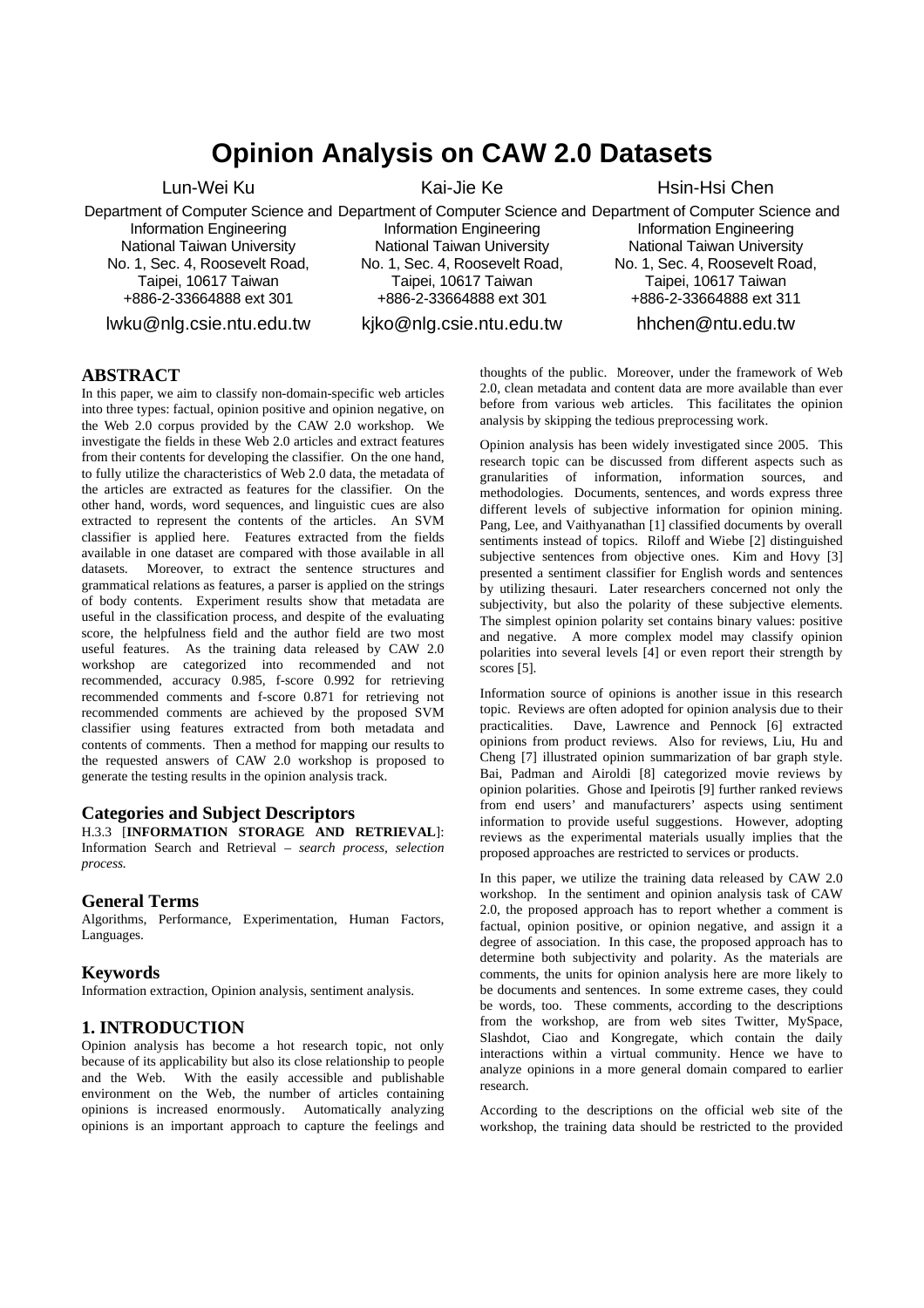# **Opinion Analysis on CAW 2.0 Datasets**

Lun-Wei Ku

Department of Computer Science and Department of Computer Science and Department of Computer Science and Information Engineering National Taiwan University No. 1, Sec. 4, Roosevelt Road, Taipei, 10617 Taiwan +886-2-33664888 ext 301

lwku@nlg.csie.ntu.edu.tw

Kai-Jie Ke

Information Engineering National Taiwan University No. 1, Sec. 4, Roosevelt Road, Taipei, 10617 Taiwan +886-2-33664888 ext 301

Hsin-Hsi Chen

Information Engineering National Taiwan University No. 1, Sec. 4, Roosevelt Road, Taipei, 10617 Taiwan +886-2-33664888 ext 311

kjko@nlg.csie.ntu.edu.tw hhchen@ntu.edu.tw

#### **ABSTRACT**

In this paper, we aim to classify non-domain-specific web articles into three types: factual, opinion positive and opinion negative, on the Web 2.0 corpus provided by the CAW 2.0 workshop. We investigate the fields in these Web 2.0 articles and extract features from their contents for developing the classifier. On the one hand, to fully utilize the characteristics of Web 2.0 data, the metadata of the articles are extracted as features for the classifier. On the other hand, words, word sequences, and linguistic cues are also extracted to represent the contents of the articles. An SVM classifier is applied here. Features extracted from the fields available in one dataset are compared with those available in all datasets. Moreover, to extract the sentence structures and grammatical relations as features, a parser is applied on the strings of body contents. Experiment results show that metadata are useful in the classification process, and despite of the evaluating score, the helpfulness field and the author field are two most useful features. As the training data released by CAW 2.0 workshop are categorized into recommended and not recommended, accuracy 0.985, f-score 0.992 for retrieving recommended comments and f-score 0.871 for retrieving not recommended comments are achieved by the proposed SVM classifier using features extracted from both metadata and contents of comments. Then a method for mapping our results to the requested answers of CAW 2.0 workshop is proposed to generate the testing results in the opinion analysis track.

## **Categories and Subject Descriptors**

H.3.3 [**INFORMATION STORAGE AND RETRIEVAL**]: Information Search and Retrieval – *search process, selection process.*

#### **General Terms**

Algorithms, Performance, Experimentation, Human Factors, Languages.

#### **Keywords**

Information extraction, Opinion analysis, sentiment analysis.

## **1. INTRODUCTION**

Opinion analysis has become a hot research topic, not only because of its applicability but also its close relationship to people and the Web. With the easily accessible and publishable environment on the Web, the number of articles containing opinions is increased enormously. Automatically analyzing opinions is an important approach to capture the feelings and thoughts of the public. Moreover, under the framework of Web 2.0, clean metadata and content data are more available than ever before from various web articles. This facilitates the opinion analysis by skipping the tedious preprocessing work.

Opinion analysis has been widely investigated since 2005. This research topic can be discussed from different aspects such as granularities of information, information sources, and methodologies. Documents, sentences, and words express three different levels of subjective information for opinion mining. Pang, Lee, and Vaithyanathan [1] classified documents by overall sentiments instead of topics. Riloff and Wiebe [2] distinguished subjective sentences from objective ones. Kim and Hovy [3] presented a sentiment classifier for English words and sentences by utilizing thesauri. Later researchers concerned not only the subjectivity, but also the polarity of these subjective elements. The simplest opinion polarity set contains binary values: positive and negative. A more complex model may classify opinion polarities into several levels [4] or even report their strength by scores [5].

Information source of opinions is another issue in this research topic. Reviews are often adopted for opinion analysis due to their practicalities. Dave, Lawrence and Pennock [6] extracted opinions from product reviews. Also for reviews, Liu, Hu and Cheng [7] illustrated opinion summarization of bar graph style. Bai, Padman and Airoldi [8] categorized movie reviews by opinion polarities. Ghose and Ipeirotis [9] further ranked reviews from end users' and manufacturers' aspects using sentiment information to provide useful suggestions. However, adopting reviews as the experimental materials usually implies that the proposed approaches are restricted to services or products.

In this paper, we utilize the training data released by CAW 2.0 workshop. In the sentiment and opinion analysis task of CAW 2.0, the proposed approach has to report whether a comment is factual, opinion positive, or opinion negative, and assign it a degree of association. In this case, the proposed approach has to determine both subjectivity and polarity. As the materials are comments, the units for opinion analysis here are more likely to be documents and sentences. In some extreme cases, they could be words, too. These comments, according to the descriptions from the workshop, are from web sites Twitter, MySpace, Slashdot, Ciao and Kongregate, which contain the daily interactions within a virtual community. Hence we have to analyze opinions in a more general domain compared to earlier research.

According to the descriptions on the official web site of the workshop, the training data should be restricted to the provided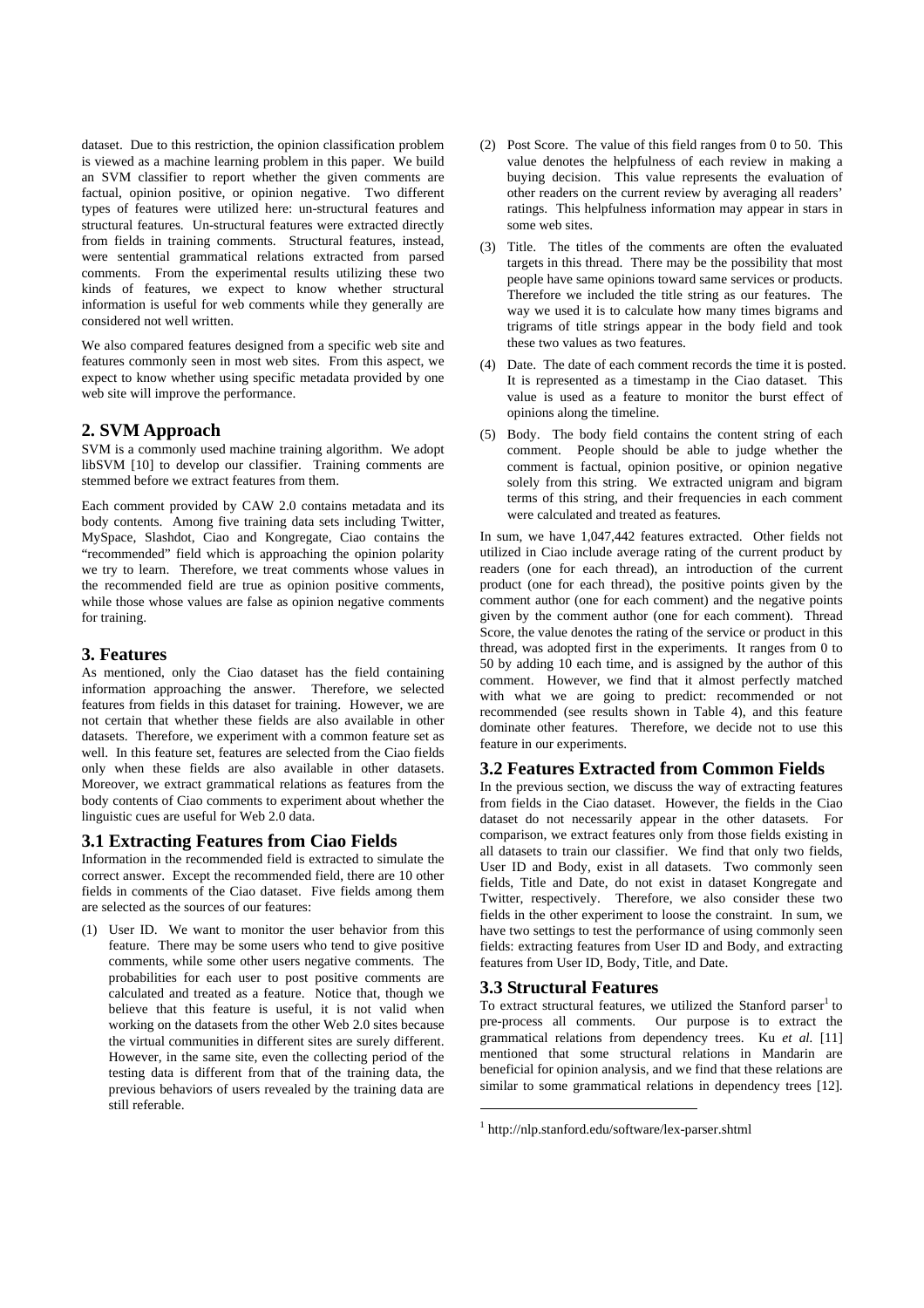dataset. Due to this restriction, the opinion classification problem is viewed as a machine learning problem in this paper. We build an SVM classifier to report whether the given comments are factual, opinion positive, or opinion negative. Two different types of features were utilized here: un-structural features and structural features. Un-structural features were extracted directly from fields in training comments. Structural features, instead, were sentential grammatical relations extracted from parsed comments. From the experimental results utilizing these two kinds of features, we expect to know whether structural information is useful for web comments while they generally are considered not well written.

We also compared features designed from a specific web site and features commonly seen in most web sites. From this aspect, we expect to know whether using specific metadata provided by one web site will improve the performance.

### **2. SVM Approach**

SVM is a commonly used machine training algorithm. We adopt libSVM [10] to develop our classifier. Training comments are stemmed before we extract features from them.

Each comment provided by CAW 2.0 contains metadata and its body contents. Among five training data sets including Twitter, MySpace, Slashdot, Ciao and Kongregate, Ciao contains the "recommended" field which is approaching the opinion polarity we try to learn. Therefore, we treat comments whose values in the recommended field are true as opinion positive comments, while those whose values are false as opinion negative comments for training.

#### **3. Features**

As mentioned, only the Ciao dataset has the field containing information approaching the answer. Therefore, we selected features from fields in this dataset for training. However, we are not certain that whether these fields are also available in other datasets. Therefore, we experiment with a common feature set as well. In this feature set, features are selected from the Ciao fields only when these fields are also available in other datasets. Moreover, we extract grammatical relations as features from the body contents of Ciao comments to experiment about whether the linguistic cues are useful for Web 2.0 data.

## **3.1 Extracting Features from Ciao Fields**

Information in the recommended field is extracted to simulate the correct answer. Except the recommended field, there are 10 other fields in comments of the Ciao dataset. Five fields among them are selected as the sources of our features:

(1) User ID. We want to monitor the user behavior from this feature. There may be some users who tend to give positive comments, while some other users negative comments. The probabilities for each user to post positive comments are calculated and treated as a feature. Notice that, though we believe that this feature is useful, it is not valid when working on the datasets from the other Web 2.0 sites because the virtual communities in different sites are surely different. However, in the same site, even the collecting period of the testing data is different from that of the training data, the previous behaviors of users revealed by the training data are still referable.

- (2) Post Score. The value of this field ranges from 0 to 50. This value denotes the helpfulness of each review in making a buying decision. This value represents the evaluation of other readers on the current review by averaging all readers' ratings. This helpfulness information may appear in stars in some web sites.
- (3) Title. The titles of the comments are often the evaluated targets in this thread. There may be the possibility that most people have same opinions toward same services or products. Therefore we included the title string as our features. The way we used it is to calculate how many times bigrams and trigrams of title strings appear in the body field and took these two values as two features.
- (4) Date. The date of each comment records the time it is posted. It is represented as a timestamp in the Ciao dataset. This value is used as a feature to monitor the burst effect of opinions along the timeline.
- (5) Body. The body field contains the content string of each comment. People should be able to judge whether the comment is factual, opinion positive, or opinion negative solely from this string. We extracted unigram and bigram terms of this string, and their frequencies in each comment were calculated and treated as features.

In sum, we have 1,047,442 features extracted. Other fields not utilized in Ciao include average rating of the current product by readers (one for each thread), an introduction of the current product (one for each thread), the positive points given by the comment author (one for each comment) and the negative points given by the comment author (one for each comment). Thread Score, the value denotes the rating of the service or product in this thread, was adopted first in the experiments. It ranges from 0 to 50 by adding 10 each time, and is assigned by the author of this comment. However, we find that it almost perfectly matched with what we are going to predict: recommended or not recommended (see results shown in Table 4), and this feature dominate other features. Therefore, we decide not to use this feature in our experiments.

### **3.2 Features Extracted from Common Fields**

In the previous section, we discuss the way of extracting features from fields in the Ciao dataset. However, the fields in the Ciao dataset do not necessarily appear in the other datasets. For comparison, we extract features only from those fields existing in all datasets to train our classifier. We find that only two fields, User ID and Body, exist in all datasets. Two commonly seen fields, Title and Date, do not exist in dataset Kongregate and Twitter, respectively. Therefore, we also consider these two fields in the other experiment to loose the constraint. In sum, we have two settings to test the performance of using commonly seen fields: extracting features from User ID and Body, and extracting features from User ID, Body, Title, and Date.

#### **3.3 Structural Features**

l

To extract structural features, we utilized the Stanford parser<sup>1</sup> to pre-process all comments. Our purpose is to extract the grammatical relations from dependency trees. Ku *et al.* [11] mentioned that some structural relations in Mandarin are beneficial for opinion analysis, and we find that these relations are similar to some grammatical relations in dependency trees [12].

<sup>1</sup> http://nlp.stanford.edu/software/lex-parser.shtml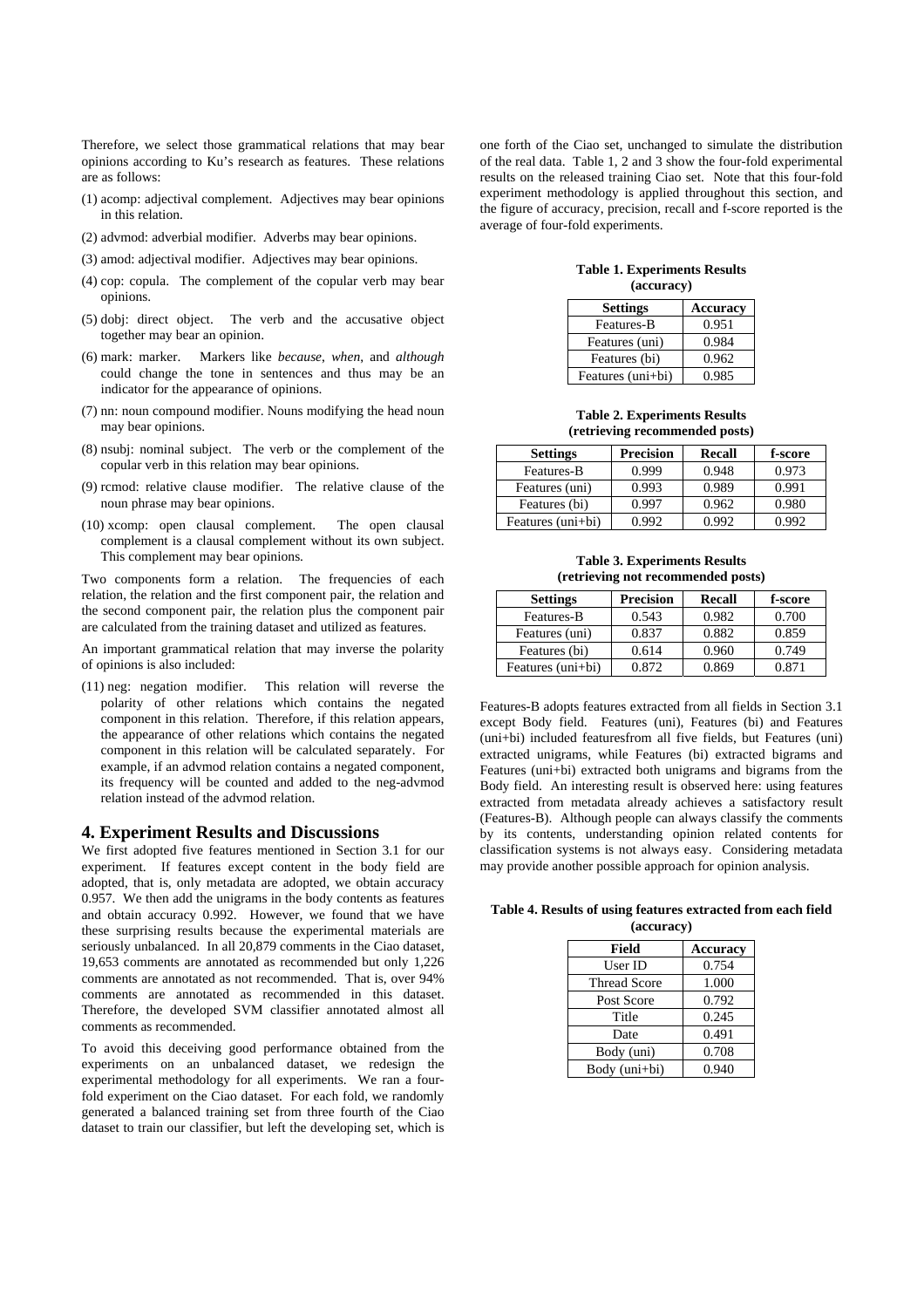Therefore, we select those grammatical relations that may bear opinions according to Ku's research as features. These relations are as follows:

- (1) acomp: adjectival complement. Adjectives may bear opinions in this relation.
- (2) advmod: adverbial modifier. Adverbs may bear opinions.
- (3) amod: adjectival modifier. Adjectives may bear opinions.
- (4) cop: copula. The complement of the copular verb may bear opinions.
- (5) dobj: direct object. The verb and the accusative object together may bear an opinion.
- (6) mark: marker. Markers like *because*, *when*, and *although* could change the tone in sentences and thus may be an indicator for the appearance of opinions.
- (7) nn: noun compound modifier. Nouns modifying the head noun may bear opinions.
- (8) nsubj: nominal subject. The verb or the complement of the copular verb in this relation may bear opinions.
- (9) rcmod: relative clause modifier. The relative clause of the noun phrase may bear opinions.
- (10) xcomp: open clausal complement. The open clausal complement is a clausal complement without its own subject. This complement may bear opinions.

Two components form a relation. The frequencies of each relation, the relation and the first component pair, the relation and the second component pair, the relation plus the component pair are calculated from the training dataset and utilized as features.

An important grammatical relation that may inverse the polarity of opinions is also included:

(11) neg: negation modifier. This relation will reverse the polarity of other relations which contains the negated component in this relation. Therefore, if this relation appears, the appearance of other relations which contains the negated component in this relation will be calculated separately. For example, if an advmod relation contains a negated component, its frequency will be counted and added to the neg-advmod relation instead of the advmod relation.

#### **4. Experiment Results and Discussions**

We first adopted five features mentioned in Section 3.1 for our experiment. If features except content in the body field are adopted, that is, only metadata are adopted, we obtain accuracy 0.957. We then add the unigrams in the body contents as features and obtain accuracy 0.992. However, we found that we have these surprising results because the experimental materials are seriously unbalanced. In all 20,879 comments in the Ciao dataset, 19,653 comments are annotated as recommended but only 1,226 comments are annotated as not recommended. That is, over 94% comments are annotated as recommended in this dataset. Therefore, the developed SVM classifier annotated almost all comments as recommended.

To avoid this deceiving good performance obtained from the experiments on an unbalanced dataset, we redesign the experimental methodology for all experiments. We ran a fourfold experiment on the Ciao dataset. For each fold, we randomly generated a balanced training set from three fourth of the Ciao dataset to train our classifier, but left the developing set, which is one forth of the Ciao set, unchanged to simulate the distribution of the real data. Table 1, 2 and 3 show the four-fold experimental results on the released training Ciao set. Note that this four-fold experiment methodology is applied throughout this section, and the figure of accuracy, precision, recall and f-score reported is the average of four-fold experiments.

**Table 1. Experiments Results (accuracy)** 

| <b>Settings</b>   | <b>Accuracy</b> |
|-------------------|-----------------|
| Features-B        | 0.951           |
| Features (uni)    | 0.984           |
| Features (bi)     | 0.962           |
| Features (uni+bi) | 0.985           |

**Table 2. Experiments Results (retrieving recommended posts)** 

| <b>Settings</b>   | <b>Precision</b> | Recall | f-score |
|-------------------|------------------|--------|---------|
| Features-B        | 0.999            | 0.948  | 0.973   |
| Features (uni)    | 0.993            | 0.989  | 0.991   |
| Features (bi)     | 0.997            | 0.962  | 0.980   |
| Features (uni+bi) | 0.992            | 0.992  | 0.992   |

**Table 3. Experiments Results (retrieving not recommended posts)** 

| <b>Settings</b>   | Precision | Recall | f-score |
|-------------------|-----------|--------|---------|
| Features-B        | 0.543     | 0.982  | 0.700   |
| Features (uni)    | 0.837     | 0.882  | 0.859   |
| Features (bi)     | 0.614     | 0.960  | 0.749   |
| Features (uni+bi) | 0.872     | 0.869  | 0.871   |

Features-B adopts features extracted from all fields in Section 3.1 except Body field. Features (uni), Features (bi) and Features (uni+bi) included featuresfrom all five fields, but Features (uni) extracted unigrams, while Features (bi) extracted bigrams and Features (uni+bi) extracted both unigrams and bigrams from the Body field. An interesting result is observed here: using features extracted from metadata already achieves a satisfactory result (Features-B). Although people can always classify the comments by its contents, understanding opinion related contents for classification systems is not always easy. Considering metadata may provide another possible approach for opinion analysis.

**Table 4. Results of using features extracted from each field (accuracy)** 

| Field               | <b>Accuracy</b> |
|---------------------|-----------------|
| User ID             | 0.754           |
| <b>Thread Score</b> | 1.000           |
| Post Score          | 0.792           |
| Title               | 0.245           |
| Date                | 0.491           |
| Body (uni)          | 0.708           |
| Body (uni+bi)       | 0.940           |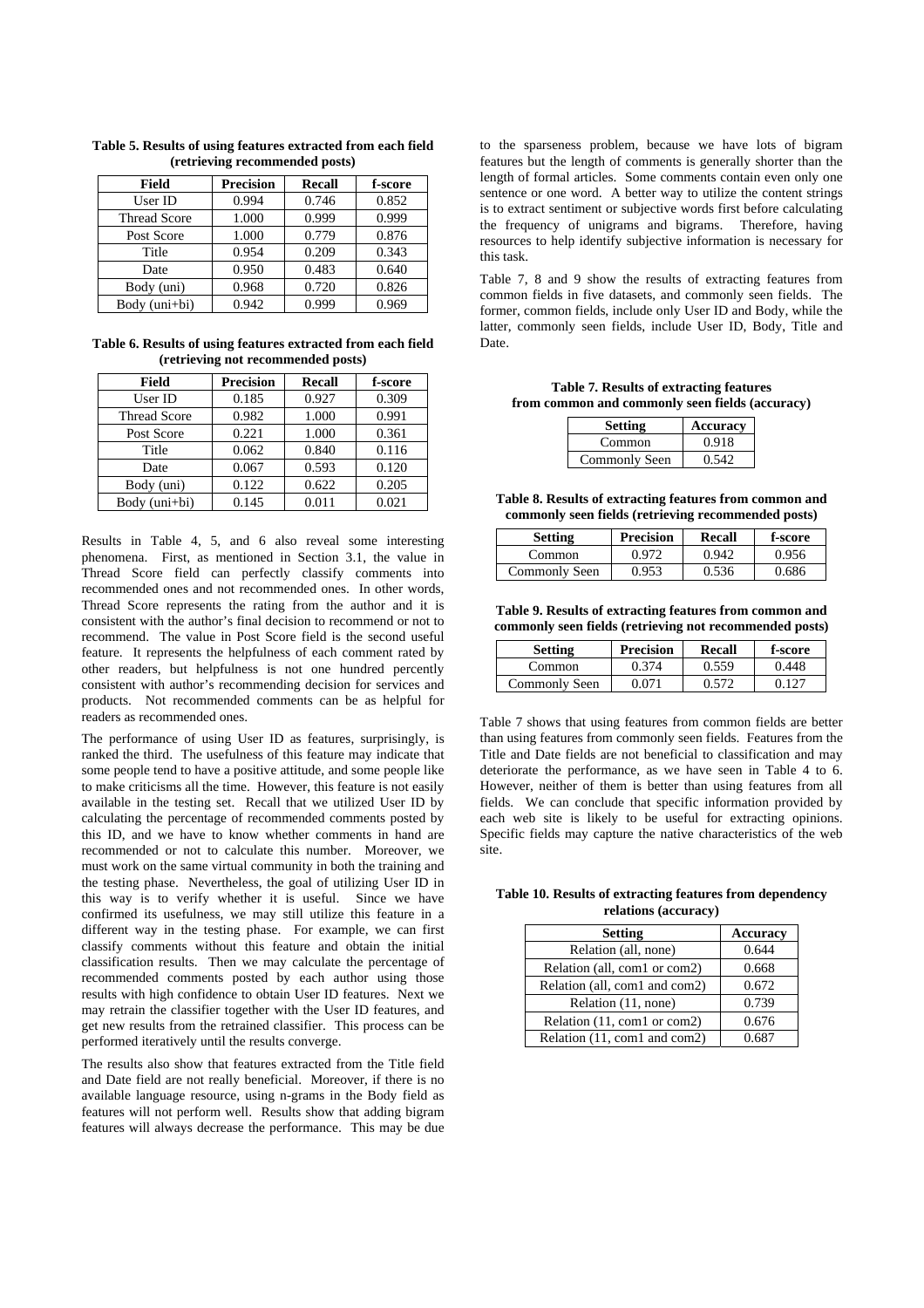| Field               | <b>Precision</b> | Recall | f-score |
|---------------------|------------------|--------|---------|
| User ID             | 0.994            | 0.746  | 0.852   |
| <b>Thread Score</b> | 1.000            | 0.999  | 0.999   |
| Post Score          | 1.000            | 0.779  | 0.876   |
| Title               | 0.954            | 0.209  | 0.343   |
| Date                | 0.950            | 0.483  | 0.640   |
| Body (uni)          | 0.968            | 0.720  | 0.826   |
| Body (uni+bi)       | 0.942            | 0.999  | 0.969   |

**Table 5. Results of using features extracted from each field (retrieving recommended posts)** 

**Table 6. Results of using features extracted from each field (retrieving not recommended posts)** 

| Field               | <b>Precision</b> | Recall | f-score |
|---------------------|------------------|--------|---------|
| User ID             | 0.185            | 0.927  | 0.309   |
| <b>Thread Score</b> | 0.982            | 1.000  | 0.991   |
| Post Score          | 0.221            | 1.000  | 0.361   |
| Title               | 0.062            | 0.840  | 0.116   |
| Date                | 0.067            | 0.593  | 0.120   |
| Body (uni)          | 0.122            | 0.622  | 0.205   |
| Body (uni+bi)       | 0.145            | 0.011  | 0.021   |

Results in Table 4, 5, and 6 also reveal some interesting phenomena. First, as mentioned in Section 3.1, the value in Thread Score field can perfectly classify comments into recommended ones and not recommended ones. In other words, Thread Score represents the rating from the author and it is consistent with the author's final decision to recommend or not to recommend. The value in Post Score field is the second useful feature. It represents the helpfulness of each comment rated by other readers, but helpfulness is not one hundred percently consistent with author's recommending decision for services and products. Not recommended comments can be as helpful for readers as recommended ones.

The performance of using User ID as features, surprisingly, is ranked the third. The usefulness of this feature may indicate that some people tend to have a positive attitude, and some people like to make criticisms all the time. However, this feature is not easily available in the testing set. Recall that we utilized User ID by calculating the percentage of recommended comments posted by this ID, and we have to know whether comments in hand are recommended or not to calculate this number. Moreover, we must work on the same virtual community in both the training and the testing phase. Nevertheless, the goal of utilizing User ID in this way is to verify whether it is useful. Since we have confirmed its usefulness, we may still utilize this feature in a different way in the testing phase. For example, we can first classify comments without this feature and obtain the initial classification results. Then we may calculate the percentage of recommended comments posted by each author using those results with high confidence to obtain User ID features. Next we may retrain the classifier together with the User ID features, and get new results from the retrained classifier. This process can be performed iteratively until the results converge.

The results also show that features extracted from the Title field and Date field are not really beneficial. Moreover, if there is no available language resource, using n-grams in the Body field as features will not perform well. Results show that adding bigram features will always decrease the performance. This may be due to the sparseness problem, because we have lots of bigram features but the length of comments is generally shorter than the length of formal articles. Some comments contain even only one sentence or one word. A better way to utilize the content strings is to extract sentiment or subjective words first before calculating the frequency of unigrams and bigrams. Therefore, having resources to help identify subjective information is necessary for this task.

Table 7, 8 and 9 show the results of extracting features from common fields in five datasets, and commonly seen fields. The former, common fields, include only User ID and Body, while the latter, commonly seen fields, include User ID, Body, Title and Date.

**Table 7. Results of extracting features from common and commonly seen fields (accuracy)** 

| <b>Setting</b> | Accuracy |
|----------------|----------|
| Common         | 0.918    |
| Commonly Seen  | 0.542    |

**Table 8. Results of extracting features from common and commonly seen fields (retrieving recommended posts)** 

| Setting       | <b>Precision</b> | Recall | f-score |
|---------------|------------------|--------|---------|
| Common        | 0.972            | 0.942  | 0.956   |
| Commonly Seen | 0.953            | 0.536  | 0.686   |

**Table 9. Results of extracting features from common and commonly seen fields (retrieving not recommended posts)** 

| <b>Setting</b> | <b>Precision</b> | Recall | f-score |
|----------------|------------------|--------|---------|
| Common         | 0.374            | 0.559  | 0.448   |
| Commonly Seen  | 0.071            | 0.572  | በ 127   |

Table 7 shows that using features from common fields are better than using features from commonly seen fields. Features from the Title and Date fields are not beneficial to classification and may deteriorate the performance, as we have seen in Table 4 to 6. However, neither of them is better than using features from all fields. We can conclude that specific information provided by each web site is likely to be useful for extracting opinions. Specific fields may capture the native characteristics of the web site.

**Table 10. Results of extracting features from dependency relations (accuracy)** 

| <b>Setting</b>                | <b>Accuracy</b> |
|-------------------------------|-----------------|
| Relation (all, none)          | 0.644           |
| Relation (all, com1 or com2)  | 0.668           |
| Relation (all, com1 and com2) | 0.672           |
| Relation (11, none)           | 0.739           |
| Relation (11, com1 or com2)   | 0.676           |
| Relation (11, com1 and com2)  |                 |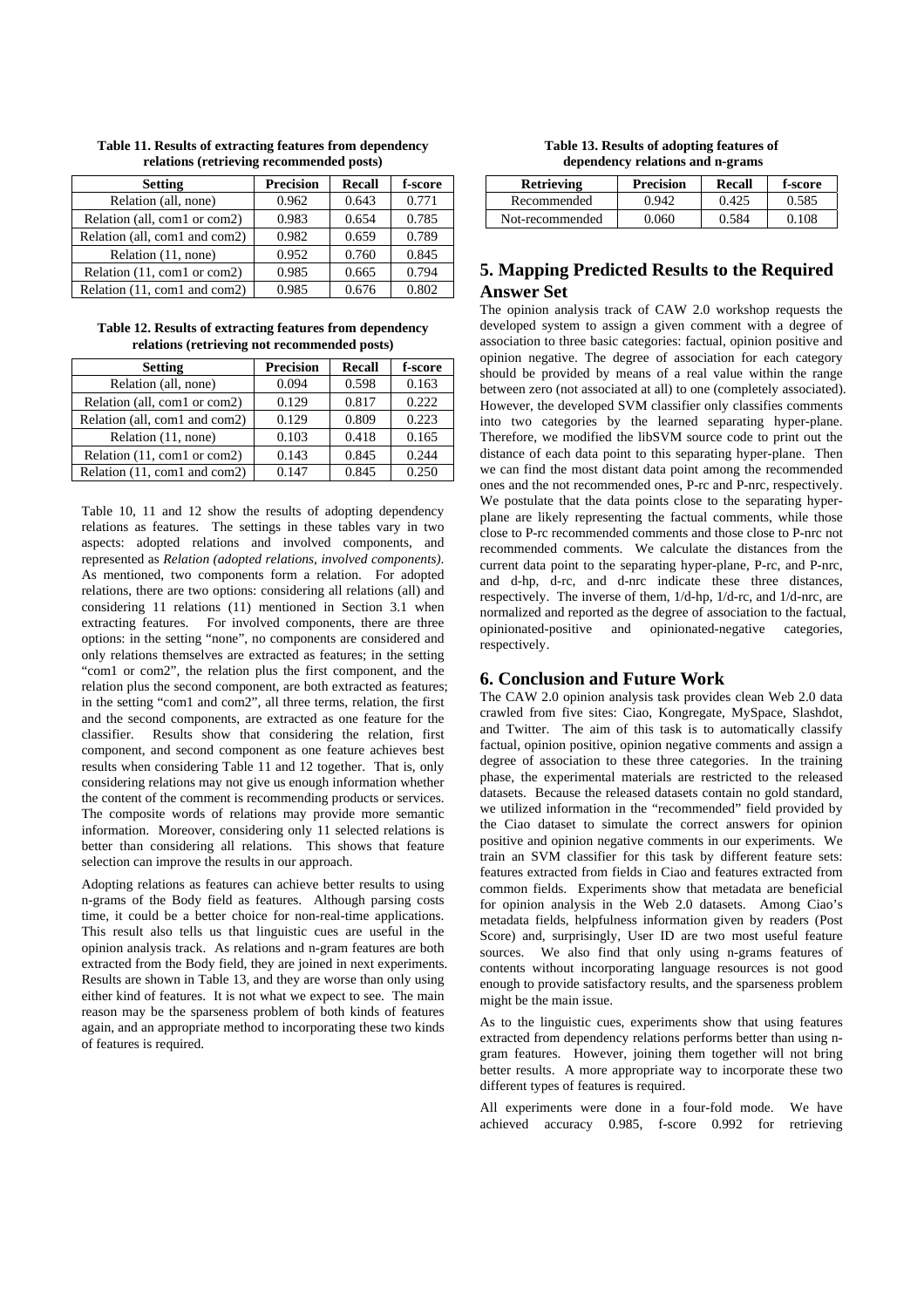| <b>Setting</b>                | <b>Precision</b> | Recall | f-score |
|-------------------------------|------------------|--------|---------|
| Relation (all, none)          | 0.962            | 0.643  | 0.771   |
| Relation (all, com1 or com2)  | 0.983            | 0.654  | 0.785   |
| Relation (all, com1 and com2) | 0.982            | 0.659  | 0.789   |
| Relation (11, none)           | 0.952            | 0.760  | 0.845   |
| Relation (11, com1 or com2)   | 0.985            | 0.665  | 0.794   |
| Relation (11, com1 and com2)  | 0.985            | 0.676  | 0.802   |

**Table 11. Results of extracting features from dependency relations (retrieving recommended posts)** 

**Table 12. Results of extracting features from dependency relations (retrieving not recommended posts)** 

| <b>Setting</b>                | <b>Precision</b> | Recall | f-score |
|-------------------------------|------------------|--------|---------|
| Relation (all, none)          | 0.094            | 0.598  | 0.163   |
| Relation (all, com1 or com2)  | 0.129            | 0.817  | 0.222   |
| Relation (all, com1 and com2) | 0.129            | 0.809  | 0.223   |
| Relation (11, none)           | 0.103            | 0.418  | 0.165   |
| Relation (11, com1 or com2)   | 0.143            | 0.845  | 0.244   |
| Relation (11, com1 and com2)  | 0.147            | 0.845  | 0.250   |

Table 10, 11 and 12 show the results of adopting dependency relations as features. The settings in these tables vary in two aspects: adopted relations and involved components, and represented as *Relation (adopted relations, involved components)*. As mentioned, two components form a relation. For adopted relations, there are two options: considering all relations (all) and considering 11 relations (11) mentioned in Section 3.1 when extracting features. For involved components, there are three options: in the setting "none", no components are considered and only relations themselves are extracted as features; in the setting "com1 or com2", the relation plus the first component, and the relation plus the second component, are both extracted as features; in the setting "com1 and com2", all three terms, relation, the first and the second components, are extracted as one feature for the classifier. Results show that considering the relation, first component, and second component as one feature achieves best results when considering Table 11 and 12 together. That is, only considering relations may not give us enough information whether the content of the comment is recommending products or services. The composite words of relations may provide more semantic information. Moreover, considering only 11 selected relations is better than considering all relations. This shows that feature selection can improve the results in our approach.

Adopting relations as features can achieve better results to using n-grams of the Body field as features. Although parsing costs time, it could be a better choice for non-real-time applications. This result also tells us that linguistic cues are useful in the opinion analysis track. As relations and n-gram features are both extracted from the Body field, they are joined in next experiments. Results are shown in Table 13, and they are worse than only using either kind of features. It is not what we expect to see. The main reason may be the sparseness problem of both kinds of features again, and an appropriate method to incorporating these two kinds of features is required.

**Table 13. Results of adopting features of dependency relations and n-grams** 

| <b>Retrieving</b> | <b>Precision</b> | Recall | f-score |
|-------------------|------------------|--------|---------|
| Recommended       | 0.942            | 0.425  | 0.585   |
| Not-recommended   | 0 060            | 0.584  | O 108   |

## **5. Mapping Predicted Results to the Required Answer Set**

The opinion analysis track of CAW 2.0 workshop requests the developed system to assign a given comment with a degree of association to three basic categories: factual, opinion positive and opinion negative. The degree of association for each category should be provided by means of a real value within the range between zero (not associated at all) to one (completely associated). However, the developed SVM classifier only classifies comments into two categories by the learned separating hyper-plane. Therefore, we modified the libSVM source code to print out the distance of each data point to this separating hyper-plane. Then we can find the most distant data point among the recommended ones and the not recommended ones, P-rc and P-nrc, respectively. We postulate that the data points close to the separating hyperplane are likely representing the factual comments, while those close to P-rc recommended comments and those close to P-nrc not recommended comments. We calculate the distances from the current data point to the separating hyper-plane, P-rc, and P-nrc, and d-hp, d-rc, and d-nrc indicate these three distances, respectively. The inverse of them, 1/d-hp, 1/d-rc, and 1/d-nrc, are normalized and reported as the degree of association to the factual, opinionated-positive and opinionated-negative categories, respectively.

## **6. Conclusion and Future Work**

The CAW 2.0 opinion analysis task provides clean Web 2.0 data crawled from five sites: Ciao, Kongregate, MySpace, Slashdot, and Twitter. The aim of this task is to automatically classify factual, opinion positive, opinion negative comments and assign a degree of association to these three categories. In the training phase, the experimental materials are restricted to the released datasets. Because the released datasets contain no gold standard, we utilized information in the "recommended" field provided by the Ciao dataset to simulate the correct answers for opinion positive and opinion negative comments in our experiments. We train an SVM classifier for this task by different feature sets: features extracted from fields in Ciao and features extracted from common fields. Experiments show that metadata are beneficial for opinion analysis in the Web 2.0 datasets. Among Ciao's metadata fields, helpfulness information given by readers (Post Score) and, surprisingly, User ID are two most useful feature sources. We also find that only using n-grams features of contents without incorporating language resources is not good enough to provide satisfactory results, and the sparseness problem might be the main issue.

As to the linguistic cues, experiments show that using features extracted from dependency relations performs better than using ngram features. However, joining them together will not bring better results. A more appropriate way to incorporate these two different types of features is required.

All experiments were done in a four-fold mode. We have achieved accuracy 0.985, f-score 0.992 for retrieving